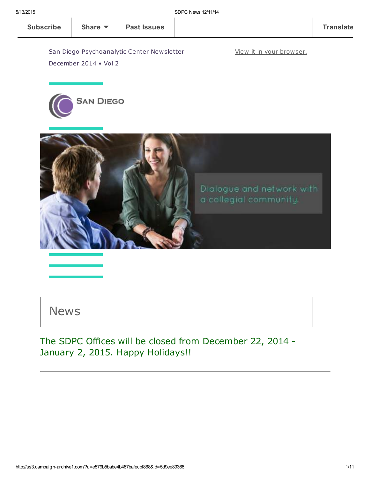View it in your [browser.](http://us3.campaign-archive1.com/?u=e579b5babe4b487bafecbf868&id=5d9ee89368&e=[UNIQID])

San Diego Psychoanalytic Center Newsletter December 2014 • Vol 2





News

The SDPC Offices will be closed from December 22, 2014 - January 2, 2015. Happy Holidays!!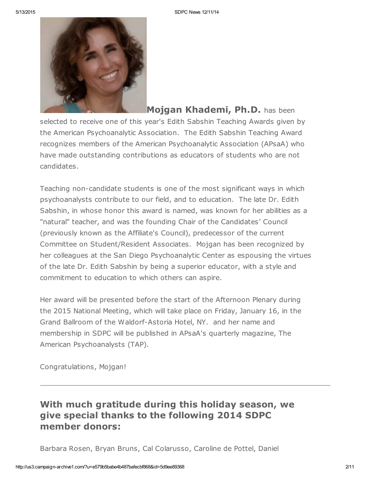

Mojgan Khademi, Ph.D. has been selected to receive one of this year's Edith Sabshin Teaching Awards given by the American Psychoanalytic Association. The Edith Sabshin Teaching Award recognizes members of the American Psychoanalytic Association (APsaA) who have made outstanding contributions as educators of students who are not candidates.

Teaching non-candidate students is one of the most significant ways in which psychoanalysts contribute to our field, and to education. The late Dr. Edith Sabshin, in whose honor this award is named, was known for her abilities as a "natural" teacher, and was the founding Chair of the Candidates' Council (previously known as the Affiliate's Council), predecessor of the current Committee on Student/Resident Associates. Mojgan has been recognized by her colleagues at the San Diego Psychoanalytic Center as espousing the virtues of the late Dr. Edith Sabshin by being a superior educator, with a style and commitment to education to which others can aspire.

Her award will be presented before the start of the Afternoon Plenary during the 2015 National Meeting, which will take place on Friday, January 16, in the Grand Ballroom of the Waldorf-Astoria Hotel, NY. and her name and membership in SDPC will be published in APsaA's quarterly magazine, The American Psychoanalysts (TAP).

Congratulations, Mojgan!

# With much gratitude during this holiday season, we give special thanks to the following 2014 SDPC member donors:

Barbara Rosen, Bryan Bruns, Cal Colarusso, Caroline de Pottel, Daniel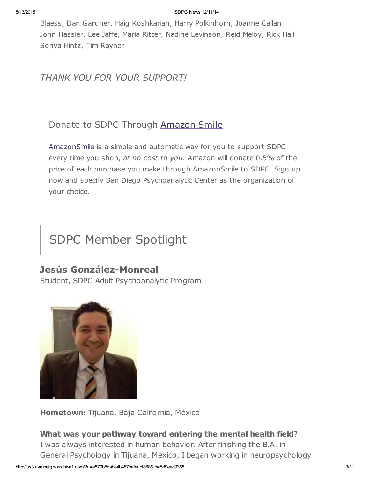#### 5/13/2015 SDPC News 12/11/14

Blaess, Dan Gardner, Haig Koshkarian, Harry Polkinhorn, Joanne Callan John Hassler, Lee Jaffe, Maria Ritter, Nadine Levinson, Reid Meloy, Rick Hall Sonya Hintz, Tim Rayner

THANK YOU FOR YOUR SUPPORT!

# Donate to SDPC Through [Amazon](http://www.sdpsychoanalyticcenter.org/node/395#overlay-context=node/395) Smile

[AmazonSmile](http://smile.amazon.com/about) is a simple and automatic way for you to support SDPC every time you shop, at no cost to you. Amazon will donate 0.5% of the price of each purchase you make through AmazonSmile to SDPC. Sign up now and specify San Diego Psychoanalytic Center as the organization of your choice.

# SDPC Member Spotlight

# Jesús González-Monreal

Student, SDPC Adult Psychoanalytic Program



Hometown: Tijuana, Baja California, México

## What was your pathway toward entering the mental health field?

I was always interested in human behavior. After finishing the B.A. in General Psychology in Tijuana, Mexico, I began working in neuropsychology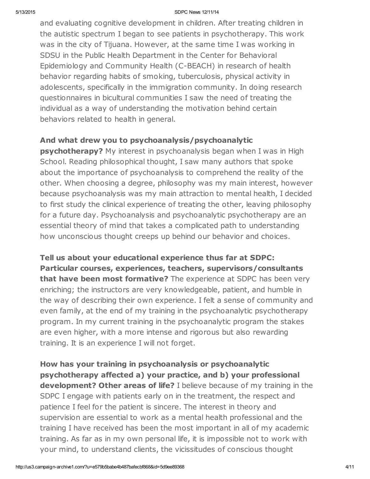#### 5/13/2015 SDPC News 12/11/14

and evaluating cognitive development in children. After treating children in the autistic spectrum I began to see patients in psychotherapy. This work was in the city of Tijuana. However, at the same time I was working in SDSU in the Public Health Department in the Center for Behavioral Epidemiology and Community Health (C-BEACH) in research of health behavior regarding habits of smoking, tuberculosis, physical activity in adolescents, specifically in the immigration community. In doing research questionnaires in bicultural communities I saw the need of treating the individual as a way of understanding the motivation behind certain behaviors related to health in general.

## And what drew you to psychoanalysis/psychoanalytic

**psychotherapy?** My interest in psychoanalysis began when I was in High School. Reading philosophical thought, I saw many authors that spoke about the importance of psychoanalysis to comprehend the reality of the other. When choosing a degree, philosophy was my main interest, however because psychoanalysis was my main attraction to mental health, I decided to first study the clinical experience of treating the other, leaving philosophy for a future day. Psychoanalysis and psychoanalytic psychotherapy are an essential theory of mind that takes a complicated path to understanding how unconscious thought creeps up behind our behavior and choices.

Tell us about your educational experience thus far at SDPC: Particular courses, experiences, teachers, supervisors/consultants that have been most formative? The experience at SDPC has been very enriching; the instructors are very knowledgeable, patient, and humble in the way of describing their own experience. I felt a sense of community and even family, at the end of my training in the psychoanalytic psychotherapy program. In my current training in the psychoanalytic program the stakes are even higher, with a more intense and rigorous but also rewarding training. It is an experience I will not forget.

How has your training in psychoanalysis or psychoanalytic psychotherapy affected a) your practice, and b) your professional development? Other areas of life? I believe because of my training in the SDPC I engage with patients early on in the treatment, the respect and patience I feel for the patient is sincere. The interest in theory and supervision are essential to work as a mental health professional and the training I have received has been the most important in all of my academic training. As far as in my own personal life, it is impossible not to work with your mind, to understand clients, the vicissitudes of conscious thought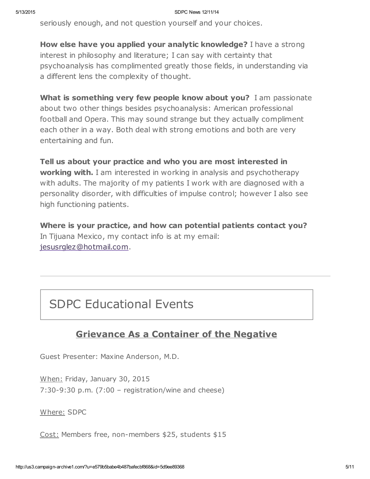seriously enough, and not question yourself and your choices.

How else have you applied your analytic knowledge? I have a strong interest in philosophy and literature; I can say with certainty that psychoanalysis has complimented greatly those fields, in understanding via a different lens the complexity of thought.

What is something very few people know about you? I am passionate about two other things besides psychoanalysis: American professional football and Opera. This may sound strange but they actually compliment each other in a way. Both deal with strong emotions and both are very entertaining and fun.

Tell us about your practice and who you are most interested in **working with.** I am interested in working in analysis and psychotherapy with adults. The majority of my patients I work with are diagnosed with a personality disorder, with difficulties of impulse control; however I also see high functioning patients.

Where is your practice, and how can potential patients contact you? In Tijuana Mexico, my contact info is at my email: [jesusrglez@hotmail.com.](mailto:jesusrglez@hotmail.com)

# SDPC Educational Events

# Grievance As a Container of the Negative

Guest Presenter: Maxine Anderson, M.D.

When: Friday, January 30, 2015 7:30-9:30 p.m. (7:00 – registration/wine and cheese)

Where: SDPC

Cost: Members free, non-members \$25, students \$15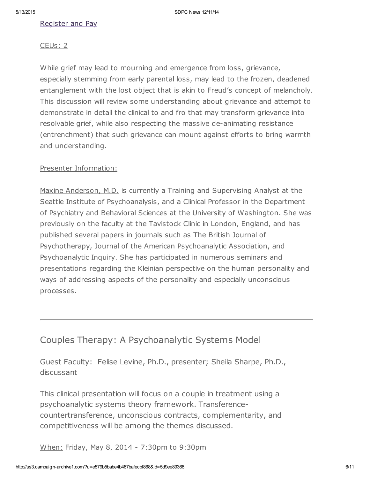## [Register](http://www.sdpsychoanalyticcenter.org/register-and-pay-online) and Pay

#### CEUs: 2

While grief may lead to mourning and emergence from loss, grievance, especially stemming from early parental loss, may lead to the frozen, deadened entanglement with the lost object that is akin to Freud's concept of melancholy. This discussion will review some understanding about grievance and attempt to demonstrate in detail the clinical to and fro that may transform grievance into resolvable grief, while also respecting the massive de-animating resistance (entrenchment) that such grievance can mount against efforts to bring warmth and understanding.

### Presenter Information:

Maxine Anderson, M.D. is currently a Training and Supervising Analyst at the Seattle Institute of Psychoanalysis, and a Clinical Professor in the Department of Psychiatry and Behavioral Sciences at the University of Washington. She was previously on the faculty at the Tavistock Clinic in London, England, and has published several papers in journals such as The British Journal of Psychotherapy, Journal of the American Psychoanalytic Association, and Psychoanalytic Inquiry. She has participated in numerous seminars and presentations regarding the Kleinian perspective on the human personality and ways of addressing aspects of the personality and especially unconscious processes.

## Couples Therapy: A Psychoanalytic Systems Model

Guest Faculty: Felise Levine, Ph.D., presenter; Sheila Sharpe, Ph.D., discussant

This clinical presentation will focus on a couple in treatment using a psychoanalytic systems theory framework. Transferencecountertransference, unconscious contracts, complementarity, and competitiveness will be among the themes discussed.

When: Friday, May 8, 2014 - 7:30pm to 9:30pm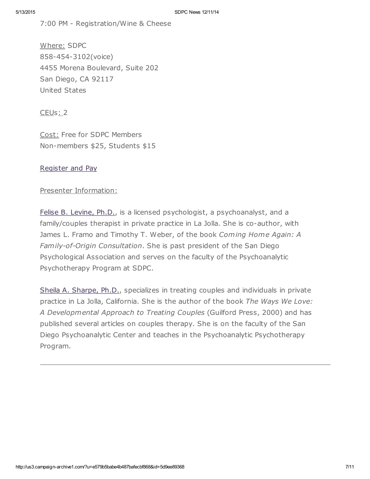7:00 PM - Registration/Wine & Cheese

Where: SDPC 858-454-3102(voice) 4455 Morena Boulevard, Suite 202 San Diego, CA 92117 United States

CEUs: 2

Cost: Free for SDPC Members Non-members \$25, Students \$15

[Register](http://www.sdpsychoanalyticcenter.org/register-and-pay-online) and Pay

Presenter Information:

Felise B. [Levine,](http://www.sdpsychoanalyticcenter.org/members/profiles/82#profile-main) Ph.D., is a licensed psychologist, a psychoanalyst, and a family/couples therapist in private practice in La Jolla. She is co-author, with James L. Framo and Timothy T. Weber, of the book Coming Home Again: A Family-of-Origin Consultation. She is past president of the San Diego Psychological Association and serves on the faculty of the Psychoanalytic Psychotherapy Program at SDPC.

Sheila A. [Sharpe,](http://www.sdpsychoanalyticcenter.org/members/profiles/103#profile-main) Ph.D., specializes in treating couples and individuals in private practice in La Jolla, California. She is the author of the book The Ways We Love: A Developmental Approach to Treating Couples (Guilford Press, 2000) and has published several articles on couples therapy. She is on the faculty of the San Diego Psychoanalytic Center and teaches in the Psychoanalytic Psychotherapy Program.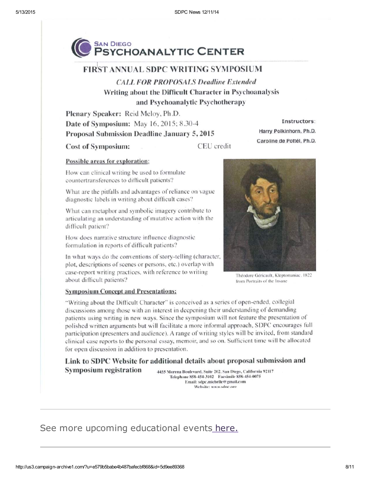

## **FIRST ANNUAL SDPC WRITING SYMPOSIUM**

**CALL FOR PROPOSALS Deadline Extended** Writing about the Difficult Character in Psychoanalysis and Psychoanalytic Psychotherapy

Plenary Speaker: Reid Meloy, Ph.D. Date of Symposium: May 16, 2015; 8.30-4 Proposal Submission Deadline January 5, 2015

**Cost of Symposium:** 

CEU credit

#### Possible areas for exploration:

How can clinical writing be used to formulate countertransferences to difficult patients?

What are the pitfalls and advantages of reliance on vague diagnostic labels in writing about difficult cases?

What can metaphor and symbolic imagery contribute to articulating an understanding of mutative action with the difficult patient?

How does narrative structure influence diagnostic formulation in reports of difficult patients?

In what ways do the conventions of story-telling (character, plot, descriptions of scenes or persons, etc.) overlap with case-report writing practices, with reference to writing about difficult patients?

Instructors:

Harry Polkinhorn, Ph.D.

Caroline de Pottél, Ph.D.

Théodore Géricault, Kleptomaniac, 1822 from Portraits of the Insane

#### **Symposium Concept and Presentations:**

"Writing about the Difficult Character" is conceived as a series of open-ended, collegial discussions among those with an interest in deepening their understanding of demanding patients using writing in new ways. Since the symposium will not feature the presentation of polished written arguments but will facilitate a more informal approach, SDPC encourages full participation (presenters and audience). A range of writing styles will be invited, from standard clinical case reports to the personal essay, memoir, and so on. Sufficient time will be allocated for open discussion in addition to presentation.

Link to SDPC Website for additional details about proposal submission and **Symposium registration** 4455 Morena Boulevard, Suite 202, San Diego, California 92117

Telephone 858-454-3102 Facsimile 858-454-0075 Email: sdpc.michelle@gmail.com Website: www.sdnc.oro

# See more upcoming educational events [here.](http://www.sdpsychoanalyticcenter.org/community-connections/upcoming-events)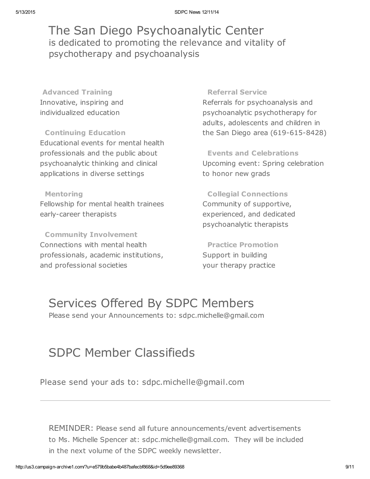The San Diego Psychoanalytic Center is dedicated to promoting the relevance and vitality of psychotherapy and psychoanalysis

Advanced Training Innovative, inspiring and individualized education

Continuing Education Educational events for mental health professionals and the public about psychoanalytic thinking and clinical applications in diverse settings

Mentoring Fellowship for mental health trainees early-career therapists

Community Involvement Connections with mental health professionals, academic institutions, and professional societies

#### Referral Service

Referrals for psychoanalysis and psychoanalytic psychotherapy for adults, adolescents and children in the San Diego area (619-615-8428)

Events and Celebrations Upcoming event: Spring celebration to honor new grads

Collegial Connections Community of supportive, experienced, and dedicated psychoanalytic therapists

Practice Promotion Support in building your therapy practice

# Services Offered By SDPC Members

Please send your Announcements to: sdpc.michelle@gmail.com

# SDPC Member Classifieds

Please send your ads to: sdpc.michelle@gmail.com

REMINDER: Please send all future announcements/event advertisements to Ms. Michelle Spencer at: sdpc.michelle@gmail.com. They will be included in the next volume of the SDPC weekly newsletter.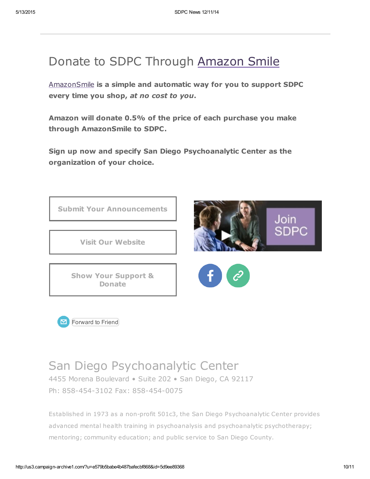# Donate to SDPC Through [Amazon](http://www.sdpsychoanalyticcenter.org/node/395#overlay-context=node/395) Smile

[AmazonSmile](http://smile.amazon.com/about) is a simple and automatic way for you to support SDPC every time you shop, at no cost to you.

Amazon will donate 0.5% of the price of each purchase you make through AmazonSmile to SDPC.

Sign up now and specify San Diego Psychoanalytic Center as the organization of your choice.





# San Diego Psychoanalytic Center

4455 Morena Boulevard • Suite 202 • San Diego, CA 92117 Ph: 858-454-3102 Fax: 858-454-0075

Established in 1973 as a non-profit 501c3, the San Diego Psychoanalytic Center provides advanced mental health training in psychoanalysis and psychoanalytic psychotherapy; mentoring; community education; and public service to San Diego County.